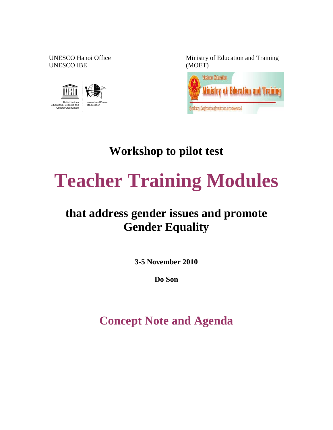UNESCO IBE (MOET)



UNESCO Hanoi Office Ministry of Education and Training



**Workshop to pilot test** 

# **Teacher Training Modules**

# **that address gender issues and promote Gender Equality**

**3-5 November 2010** 

**Do Son**

**Concept Note and Agenda**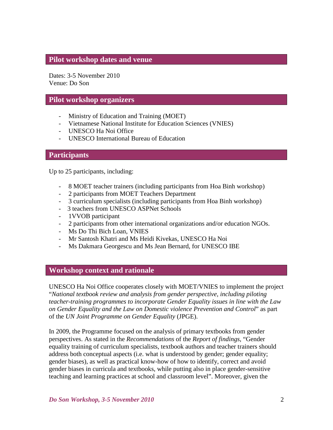#### **Pilot workshop dates and venue**

Dates: 3-5 November 2010 Venue: Do Son

#### **Pilot workshop organizers**

- Ministry of Education and Training (MOET)
- Vietnamese National Institute for Education Sciences (VNIES)
- UNESCO Ha Noi Office
- UNESCO International Bureau of Education

#### **Participants**

Up to 25 participants, including:

- 8 MOET teacher trainers (including participants from Hoa Binh workshop)
- 2 participants from MOET Teachers Department
- 3 curriculum specialists (including participants from Hoa Binh workshop)
- 3 teachers from UNESCO ASPNet Schools
- 1VVOB participant
- 2 participants from other international organizations and/or education NGOs.
- Ms Do Thi Bich Loan, VNIES
- Mr Santosh Khatri and Ms Heidi Kivekas, UNESCO Ha Noi
- Ms Dakmara Georgescu and Ms Jean Bernard, for UNESCO IBE

#### **Workshop context and rationale**

UNESCO Ha Noi Office cooperates closely with MOET/VNIES to implement the project "*National textbook review and analysis from gender perspective, including piloting teacher-training programmes to incorporate Gender Equality issues in line with the Law on Gender Equality and the Law on Domestic violence Prevention and Control*" as part of the *UN Joint Programme on Gender Equality* (JPGE).

In 2009, the Programme focused on the analysis of primary textbooks from gender perspectives. As stated in the *Recommendations* of the *Report of findings*, "Gender equality training of curriculum specialists, textbook authors and teacher trainers should address both conceptual aspects (i.e. what is understood by gender; gender equality; gender biases), as well as practical know-how of how to identify, correct and avoid gender biases in curricula and textbooks, while putting also in place gender-sensitive teaching and learning practices at school and classroom level". Moreover, given the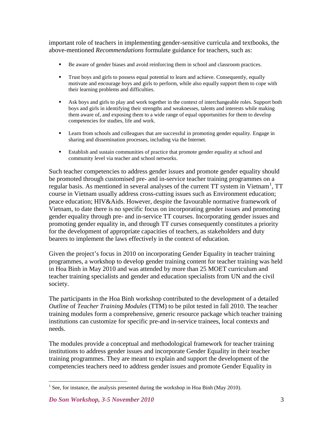important role of teachers in implementing gender-sensitive curricula and textbooks, the above-mentioned *Recommendations* formulate guidance for teachers, such as:

- Be aware of gender biases and avoid reinforcing them in school and classroom practices.
- Trust boys and girls to possess equal potential to learn and achieve. Consequently, equally motivate and encourage boys and girls to perform, while also equally support them to cope with their learning problems and difficulties.
- Ask boys and girls to play and work together in the context of interchangeable roles. Support both boys and girls in identifying their strengths and weaknesses, talents and interests while making them aware of, and exposing them to a wide range of equal opportunities for them to develop competencies for studies, life and work.
- Learn from schools and colleagues that are successful in promoting gender equality. Engage in sharing and dissemination processes, including via the Internet.
- Establish and sustain communities of practice that promote gender equality at school and community level via teacher and school networks.

Such teacher competencies to address gender issues and promote gender equality should be promoted through customised pre- and in-service teacher training programmes on a regular basis. As mentioned in several analyses of the current TT system in Vietnam<sup>[1](#page-2-0)</sup>, TT course in Vietnam usually address cross-cutting issues such as Environment education; peace education; HIV&Aids. However, despite the favourable normative framework of Vietnam, to date there is no specific focus on incorporating gender issues and promoting gender equality through pre- and in-service TT courses. Incorporating gender issues and promoting gender equality in, and through TT curses consequently constitutes a priority for the development of appropriate capacities of teachers, as stakeholders and duty bearers to implement the laws effectively in the context of education.

Given the project's focus in 2010 on incorporating Gender Equality in teacher training programmes, a workshop to develop gender training content for teacher training was held in Hoa Binh in May 2010 and was attended by more than 25 MOET curriculum and teacher training specialists and gender and education specialists from UN and the civil society.

The participants in the Hoa Binh workshop contributed to the development of a detailed *Outline* of *Teacher Training Modules* (TTM) to be pilot tested in fall 2010. The teacher training modules form a comprehensive, generic resource package which teacher training institutions can customize for specific pre-and in-service trainees, local contexts and needs.

The modules provide a conceptual and methodological framework for teacher training institutions to address gender issues and incorporate Gender Equality in their teacher training programmes. They are meant to explain and support the development of the competencies teachers need to address gender issues and promote Gender Equality in

<span id="page-2-0"></span><sup>&</sup>lt;sup>1</sup> See, for instance, the analysis presented during the workshop in Hoa Binh (May 2010).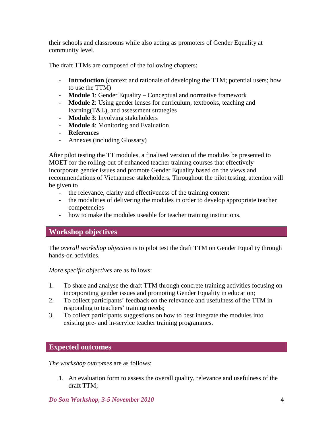their schools and classrooms while also acting as promoters of Gender Equality at community level.

The draft TTMs are composed of the following chapters:

- **Introduction** (context and rationale of developing the TTM; potential users; how to use the TTM)
- **Module 1**: Gender Equality Conceptual and normative framework
- **Module 2**: Using gender lenses for curriculum, textbooks, teaching and learning(T&L), and assessment strategies
- **Module 3**: Involving stakeholders
- **Module 4**: Monitoring and Evaluation
- **References**
- Annexes (including Glossary)

After pilot testing the TT modules, a finalised version of the modules be presented to MOET for the rolling-out of enhanced teacher training courses that effectively incorporate gender issues and promote Gender Equality based on the views and recommendations of Vietnamese stakeholders. Throughout the pilot testing, attention will be given to

- the relevance, clarity and effectiveness of the training content
- the modalities of delivering the modules in order to develop appropriate teacher competencies
- how to make the modules useable for teacher training institutions.

# **Workshop objectives**

The *overall workshop objective* is to pilot test the draft TTM on Gender Equality through hands-on activities.

*More specific objectives* are as follows:

- 1. To share and analyse the draft TTM through concrete training activities focusing on incorporating gender issues and promoting Gender Equality in education;
- 2. To collect participants' feedback on the relevance and usefulness of the TTM in responding to teachers' training needs;
- 3. To collect participants suggestions on how to best integrate the modules into existing pre- and in-service teacher training programmes.

#### **Expected outcomes**

*The workshop outcomes* are as follows:

1. An evaluation form to assess the overall quality, relevance and usefulness of the draft TTM;

*Do Son Workshop, 3-5 November 2010* 4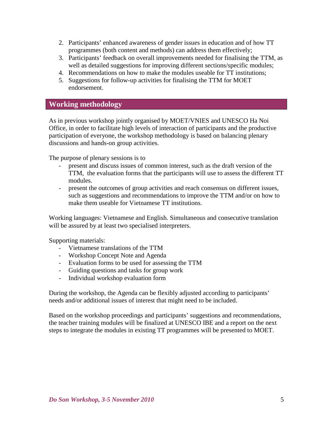- 2. Participants' enhanced awareness of gender issues in education and of how TT programmes (both content and methods) can address them effectively;
- 3. Participants' feedback on overall improvements needed for finalising the TTM, as well as detailed suggestions for improving different sections/specific modules;
- 4. Recommendations on how to make the modules useable for TT institutions;
- 5. Suggestions for follow-up activities for finalising the TTM for MOET endorsement.

#### **Working methodology**

As in previous workshop jointly organised by MOET/VNIES and UNESCO Ha Noi Office, in order to facilitate high levels of interaction of participants and the productive participation of everyone, the workshop methodology is based on balancing plenary discussions and hands-on group activities.

The purpose of plenary sessions is to

- present and discuss issues of common interest, such as the draft version of the TTM, the evaluation forms that the participants will use to assess the different TT modules.
- present the outcomes of group activities and reach consensus on different issues, such as suggestions and recommendations to improve the TTM and/or on how to make them useable for Vietnamese TT institutions.

Working languages: Vietnamese and English. Simultaneous and consecutive translation will be assured by at least two specialised interpreters.

Supporting materials:

- Vietnamese translations of the TTM
- Workshop Concept Note and Agenda
- Evaluation forms to be used for assessing the TTM
- Guiding questions and tasks for group work
- Individual workshop evaluation form

During the workshop, the Agenda can be flexibly adjusted according to participants' needs and/or additional issues of interest that might need to be included.

Based on the workshop proceedings and participants' suggestions and recommendations, the teacher training modules will be finalized at UNESCO IBE and a report on the next steps to integrate the modules in existing TT programmes will be presented to MOET.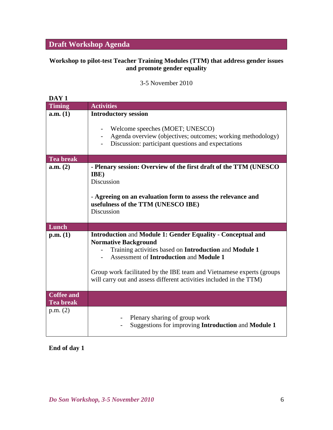# **Draft Workshop Agenda**

#### **Workshop to pilot-test Teacher Training Modules (TTM) that address gender issues and promote gender equality**

3-5 November 2010

| DAY <sub>1</sub>                      |                                                                                                                                                                                                                                                                                                                                                               |
|---------------------------------------|---------------------------------------------------------------------------------------------------------------------------------------------------------------------------------------------------------------------------------------------------------------------------------------------------------------------------------------------------------------|
| <b>Timing</b>                         | <b>Activities</b>                                                                                                                                                                                                                                                                                                                                             |
| a.m. (1)                              | <b>Introductory session</b><br>Welcome speeches (MOET; UNESCO)<br>$\overline{\phantom{a}}$<br>Agenda overview (objectives; outcomes; working methodology)<br>$\sim$ $-$<br>Discussion: participant questions and expectations                                                                                                                                 |
| <b>Tea break</b>                      |                                                                                                                                                                                                                                                                                                                                                               |
| a.m. (2)                              | - Plenary session: Overview of the first draft of the TTM (UNESCO<br>IBE)<br><b>Discussion</b><br>- Agreeing on an evaluation form to assess the relevance and<br>usefulness of the TTM (UNESCO IBE)<br>Discussion                                                                                                                                            |
| Lunch                                 |                                                                                                                                                                                                                                                                                                                                                               |
| p.m. (1)                              | <b>Introduction and Module 1: Gender Equality - Conceptual and</b><br><b>Normative Background</b><br>Training activities based on Introduction and Module 1<br><b>Assessment of Introduction and Module 1</b><br>Group work facilitated by the IBE team and Vietnamese experts (groups<br>will carry out and assess different activities included in the TTM) |
| <b>Coffee and</b><br><b>Tea break</b> |                                                                                                                                                                                                                                                                                                                                                               |
| p.m. (2)                              | Plenary sharing of group work<br>Suggestions for improving Introduction and Module 1                                                                                                                                                                                                                                                                          |

## **End of day 1**